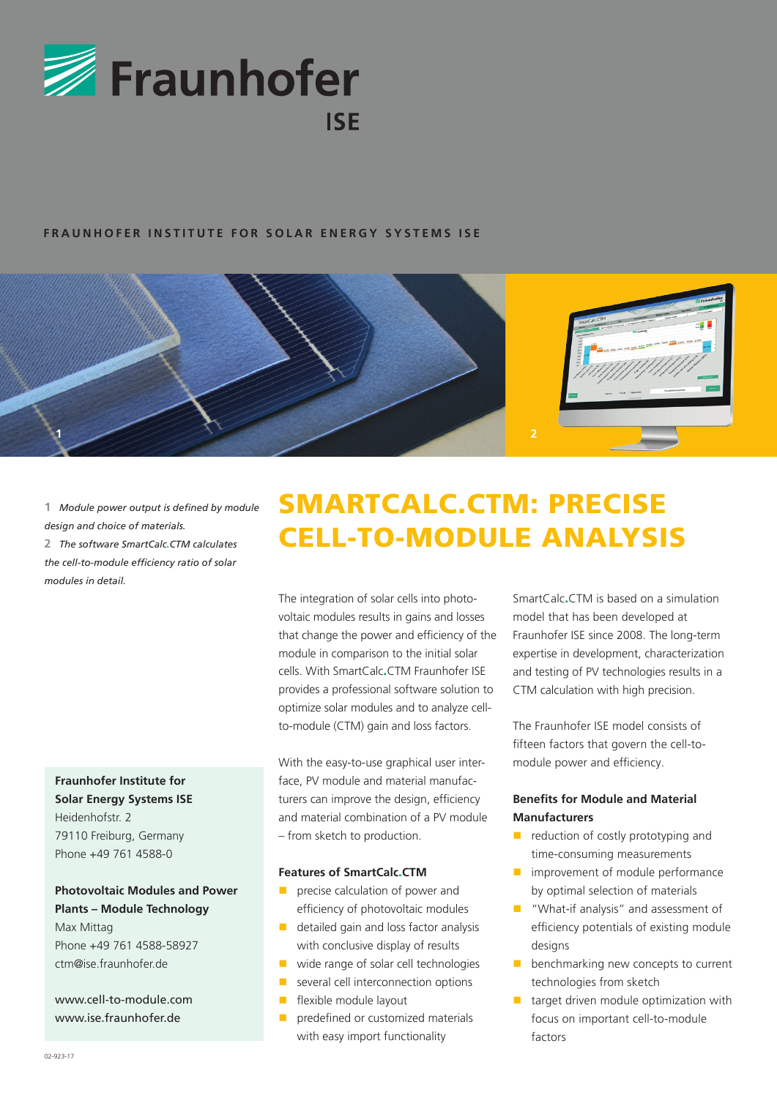

## **FRAUNHOFER INSTITUTE FOR SOLAR ENERGY SYSTEMS ISE**



**1**  *Module power output is defined by module design and choice of materials.* **2**  *The software SmartCalc.CTM calculates the cell-to-module efficiency ratio of solar modules in detail.*

**Fraunhofer Institute for Solar Energy Systems ISE** Heidenhofstr. 2 79110 Freiburg, Germany Phone +49 761 4588-0

**Photovoltaic Modules and Power Plants – Module Technology** Max Mittag Phone +49 761 4588-58927

ctm@ise.fraunhofer.de

www.cell-to-module.com www.ise.fraunhofer.de

# SMARTCALC.CTM: PRECISE CELL-TO-MODULE ANALYSIS

The integration of solar cells into photovoltaic modules results in gains and losses that change the power and efficiency of the module in comparison to the initial solar cells. With SmartCalc.CTM Fraunhofer ISE provides a professional software solution to optimize solar modules and to analyze cellto-module (CTM) gain and loss factors.

With the easy-to-use graphical user interface, PV module and material manufacturers can improve the design, efficiency and material combination of a PV module – from sketch to production.

#### **Features of SmartCalc**.**CTM**

- **P** precise calculation of power and efficiency of photovoltaic modules
- detailed gain and loss factor analysis with conclusive display of results
- wide range of solar cell technologies
- several cell interconnection options
- **F** flexible module layout
- predefined or customized materials with easy import functionality

SmartCalc.CTM is based on a simulation model that has been developed at Fraunhofer ISE since 2008. The long-term expertise in development, characterization and testing of PV technologies results in a CTM calculation with high precision.

The Fraunhofer ISE model consists of fifteen factors that govern the cell-tomodule power and efficiency.

## **Benefits for Module and Material Manufacturers**

- $\blacksquare$  reduction of costly prototyping and time-consuming measurements
- **n** improvement of module performance by optimal selection of materials
- **Now "What-if analysis" and assessment of** efficiency potentials of existing module designs
- **benchmarking new concepts to current** technologies from sketch
- $\blacksquare$  target driven module optimization with focus on important cell-to-module factors